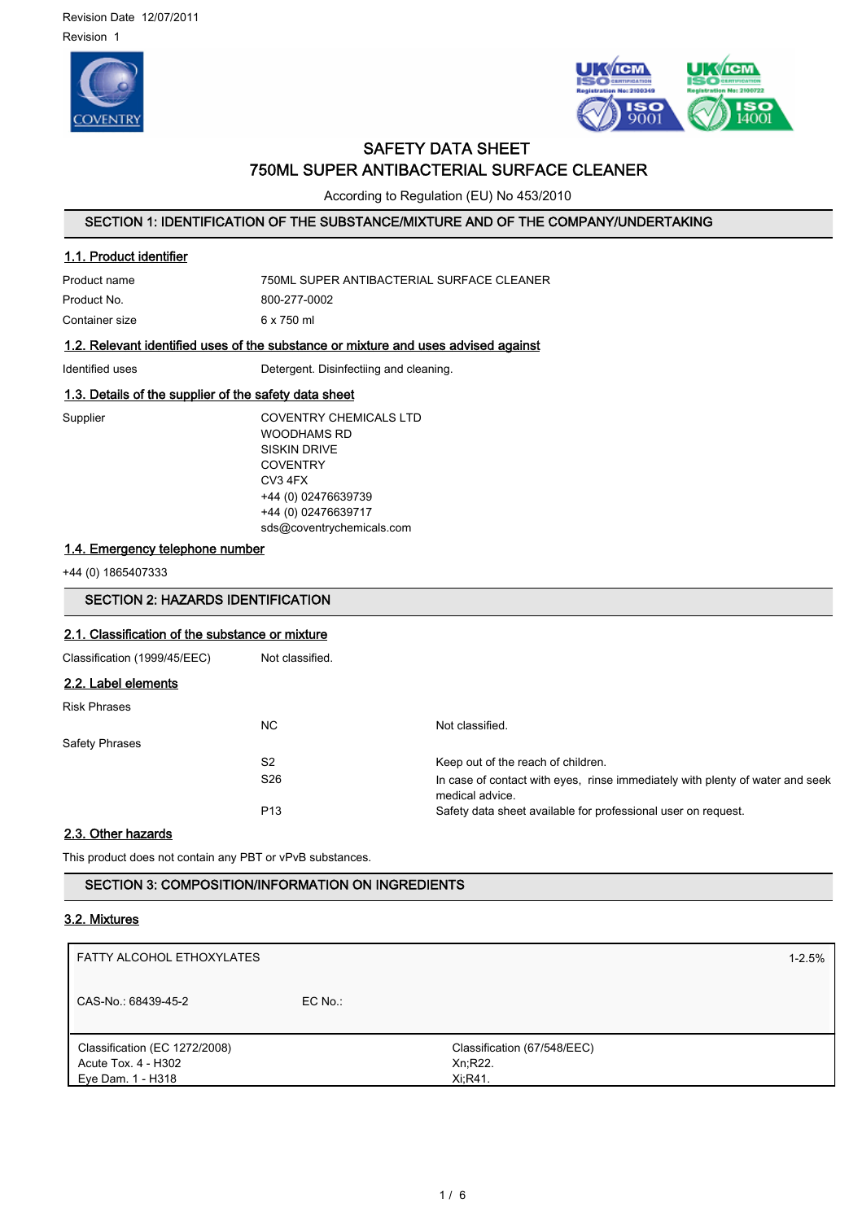



# SAFETY DATA SHEET 750ML SUPER ANTIBACTERIAL SURFACE CLEANER

According to Regulation (EU) No 453/2010

# SECTION 1: IDENTIFICATION OF THE SUBSTANCE/MIXTURE AND OF THE COMPANY/UNDERTAKING

## 1.1. Product identifier

| Product name   | 750ML SUPER ANTIBACTERIAL SURFACE CLEANER |
|----------------|-------------------------------------------|
| Product No.    | 800-277-0002                              |
| Container size | 6 x 750 ml                                |

# 1.2. Relevant identified uses of the substance or mixture and uses advised against

Identified uses **Detergent.** Disinfectiing and cleaning.

# 1.3. Details of the supplier of the safety data sheet

Supplier COVENTRY CHEMICALS LTD WOODHAMS RD SISKIN DRIVE **COVENTRY** CV3 4FX +44 (0) 02476639739 +44 (0) 02476639717 sds@coventrychemicals.com

# 1.4. Emergency telephone number

+44 (0) 1865407333

# SECTION 2: HAZARDS IDENTIFICATION

# 2.1. Classification of the substance or mixture

| Classification (1999/45/EEC) | Not classified. |                                                                                                  |
|------------------------------|-----------------|--------------------------------------------------------------------------------------------------|
| 2.2. Label elements          |                 |                                                                                                  |
| <b>Risk Phrases</b>          |                 |                                                                                                  |
|                              | NC.             | Not classified.                                                                                  |
| <b>Safety Phrases</b>        |                 |                                                                                                  |
|                              | S <sub>2</sub>  | Keep out of the reach of children.                                                               |
|                              | S <sub>26</sub> | In case of contact with eyes, rinse immediately with plenty of water and seek<br>medical advice. |
|                              | P <sub>13</sub> | Safety data sheet available for professional user on request.                                    |

### 2.3. Other hazards

This product does not contain any PBT or vPvB substances.

SECTION 3: COMPOSITION/INFORMATION ON INGREDIENTS

### 3.2. Mixtures

| FATTY ALCOHOL ETHOXYLATES                                                 |           |                                                   | $1 - 2.5%$ |
|---------------------------------------------------------------------------|-----------|---------------------------------------------------|------------|
| CAS-No.: 68439-45-2                                                       | $EC$ No.: |                                                   |            |
| Classification (EC 1272/2008)<br>Acute Tox. 4 - H302<br>Eye Dam. 1 - H318 |           | Classification (67/548/EEC)<br>Xn;R22.<br>Xi:R41. |            |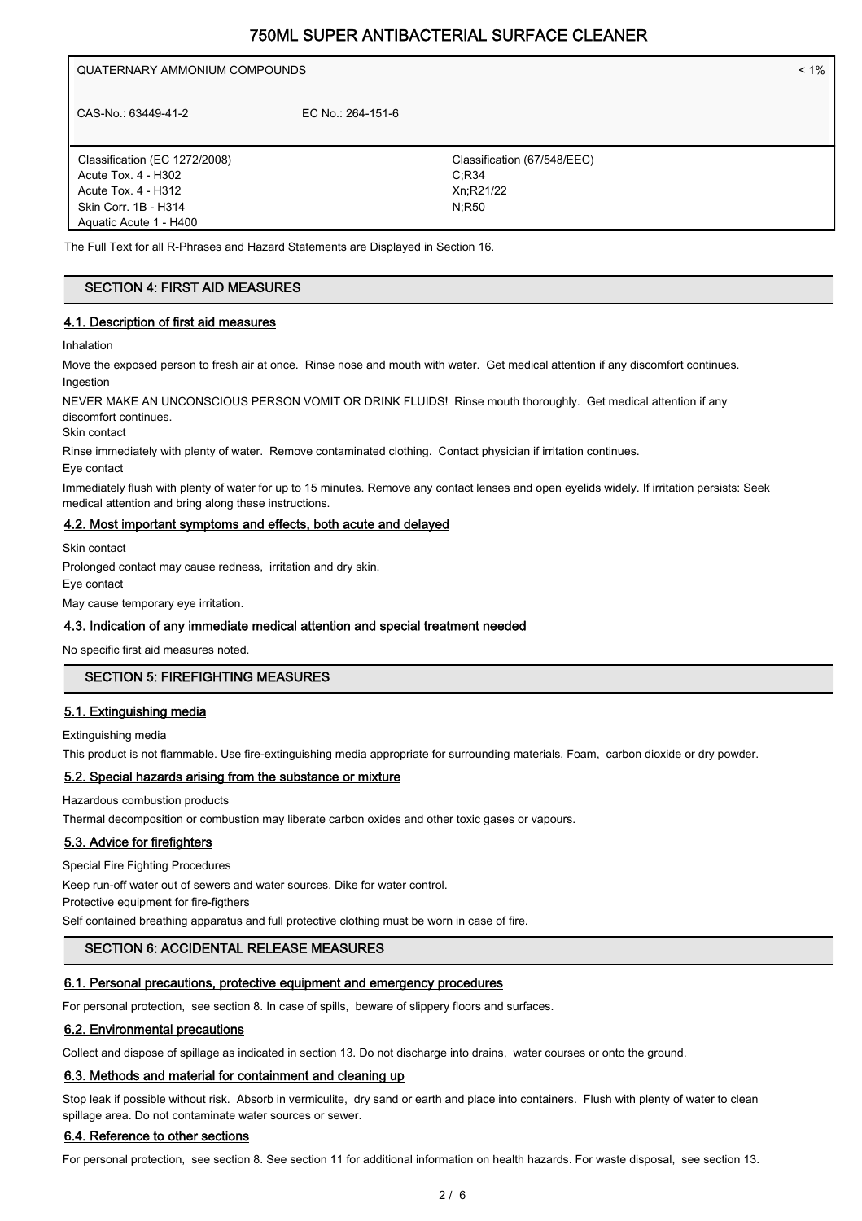QUATERNARY AMMONIUM COMPOUNDS < 1% CAS-No.: 63449-41-2 EC No.: 264-151-6

Classification (EC 1272/2008) Acute Tox. 4 - H302 Acute Tox. 4 - H312 Skin Corr. 1B - H314 Aquatic Acute 1 - H400

Classification (67/548/EEC) C;R34 Xn;R21/22 N;R50

The Full Text for all R-Phrases and Hazard Statements are Displayed in Section 16.

# SECTION 4: FIRST AID MEASURES

## 4.1. Description of first aid measures

Inhalation

Move the exposed person to fresh air at once. Rinse nose and mouth with water. Get medical attention if any discomfort continues. Ingestion

NEVER MAKE AN UNCONSCIOUS PERSON VOMIT OR DRINK FLUIDS! Rinse mouth thoroughly. Get medical attention if any discomfort continues.

Skin contact

Rinse immediately with plenty of water. Remove contaminated clothing. Contact physician if irritation continues.

Eye contact

Immediately flush with plenty of water for up to 15 minutes. Remove any contact lenses and open eyelids widely. If irritation persists: Seek medical attention and bring along these instructions.

#### 4.2. Most important symptoms and effects, both acute and delayed

Skin contact

Prolonged contact may cause redness, irritation and dry skin.

Eye contact

May cause temporary eye irritation.

#### 4.3. Indication of any immediate medical attention and special treatment needed

No specific first aid measures noted.

# SECTION 5: FIREFIGHTING MEASURES

#### 5.1. Extinguishing media

Extinguishing media

This product is not flammable. Use fire-extinguishing media appropriate for surrounding materials. Foam, carbon dioxide or dry powder.

#### 5.2. Special hazards arising from the substance or mixture

Hazardous combustion products

Thermal decomposition or combustion may liberate carbon oxides and other toxic gases or vapours.

# 5.3. Advice for firefighters

Special Fire Fighting Procedures

Keep run-off water out of sewers and water sources. Dike for water control. Protective equipment for fire-figthers

Self contained breathing apparatus and full protective clothing must be worn in case of fire.

# SECTION 6: ACCIDENTAL RELEASE MEASURES

#### 6.1. Personal precautions, protective equipment and emergency procedures

For personal protection, see section 8. In case of spills, beware of slippery floors and surfaces.

#### 6.2. Environmental precautions

Collect and dispose of spillage as indicated in section 13. Do not discharge into drains, water courses or onto the ground.

#### 6.3. Methods and material for containment and cleaning up

Stop leak if possible without risk. Absorb in vermiculite, dry sand or earth and place into containers. Flush with plenty of water to clean spillage area. Do not contaminate water sources or sewer.

## 6.4. Reference to other sections

For personal protection, see section 8. See section 11 for additional information on health hazards. For waste disposal, see section 13.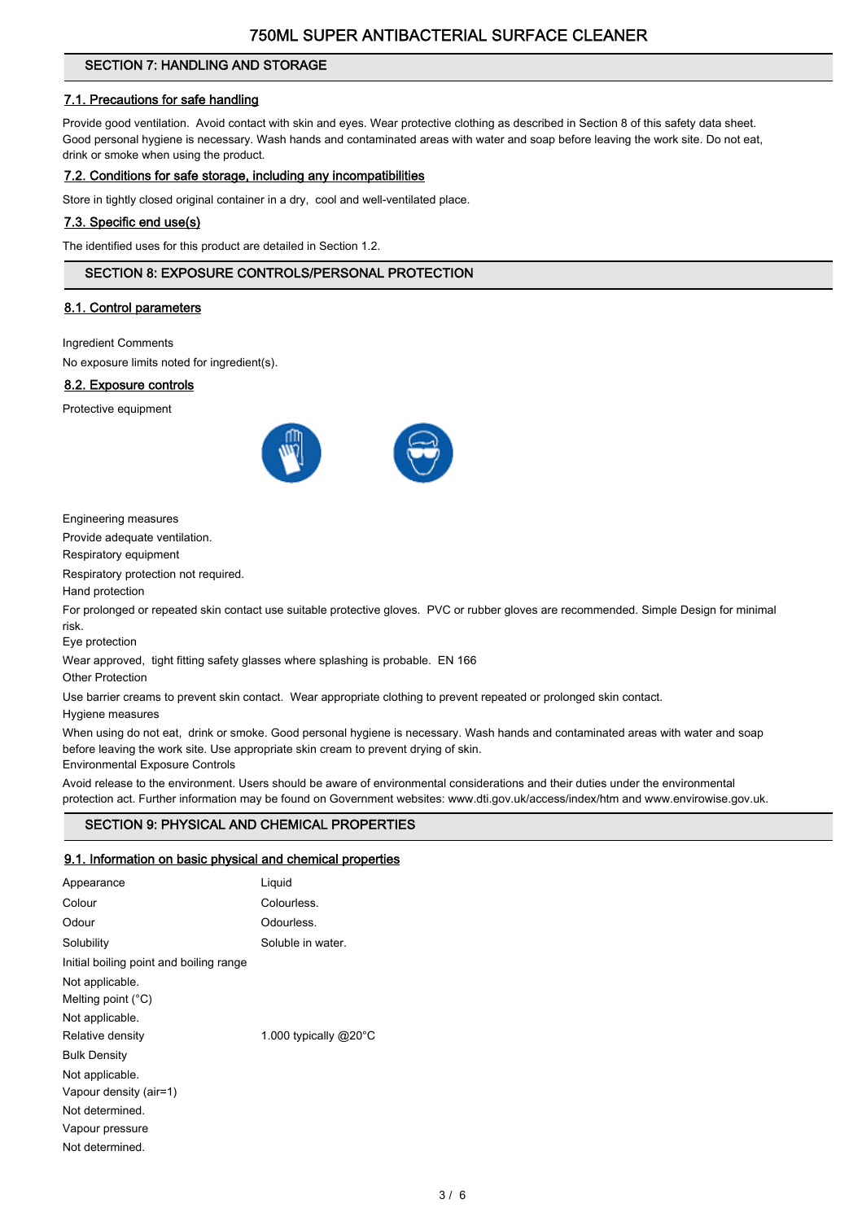# SECTION 7: HANDLING AND STORAGE

# 7.1. Precautions for safe handling

Provide good ventilation. Avoid contact with skin and eyes. Wear protective clothing as described in Section 8 of this safety data sheet. Good personal hygiene is necessary. Wash hands and contaminated areas with water and soap before leaving the work site. Do not eat, drink or smoke when using the product.

## 7.2. Conditions for safe storage, including any incompatibilities

Store in tightly closed original container in a dry, cool and well-ventilated place.

## 7.3. Specific end use(s)

The identified uses for this product are detailed in Section 1.2.

# SECTION 8: EXPOSURE CONTROLS/PERSONAL PROTECTION

#### 8.1. Control parameters

Ingredient Comments

No exposure limits noted for ingredient(s).

#### 8.2. Exposure controls

Protective equipment



Engineering measures

Provide adequate ventilation.

Respiratory equipment

Respiratory protection not required.

Hand protection

For prolonged or repeated skin contact use suitable protective gloves. PVC or rubber gloves are recommended. Simple Design for minimal risk.

Eye protection

Wear approved, tight fitting safety glasses where splashing is probable. EN 166

Other Protection

Use barrier creams to prevent skin contact. Wear appropriate clothing to prevent repeated or prolonged skin contact.

Hygiene measures

When using do not eat, drink or smoke. Good personal hygiene is necessary. Wash hands and contaminated areas with water and soap before leaving the work site. Use appropriate skin cream to prevent drying of skin.

Environmental Exposure Controls

Avoid release to the environment. Users should be aware of environmental considerations and their duties under the environmental protection act. Further information may be found on Government websites: www.dti.gov.uk/access/index/htm and www.envirowise.gov.uk.

# SECTION 9: PHYSICAL AND CHEMICAL PROPERTIES

# 9.1. Information on basic physical and chemical properties

| Appearance                              | Liquid                |
|-----------------------------------------|-----------------------|
| Colour                                  | Colourless.           |
| Odour                                   | Odourless.            |
| Solubility                              | Soluble in water.     |
| Initial boiling point and boiling range |                       |
| Not applicable.                         |                       |
| Melting point $(^{\circ}C)$             |                       |
| Not applicable.                         |                       |
| Relative density                        | 1.000 typically @20°C |
| <b>Bulk Density</b>                     |                       |
| Not applicable.                         |                       |
| Vapour density (air=1)                  |                       |
| Not determined.                         |                       |
| Vapour pressure                         |                       |
| Not determined.                         |                       |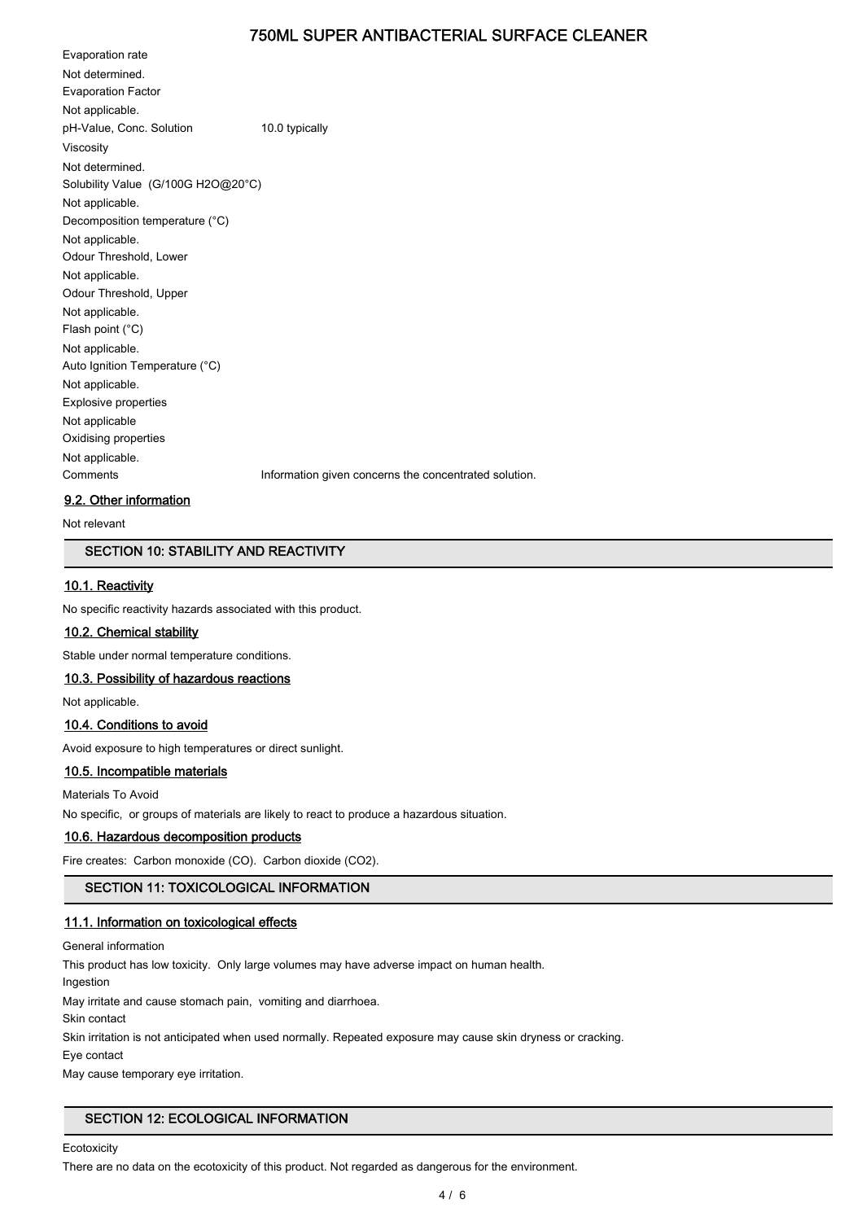Evaporation rate Not determined. Evaporation Factor Not applicable. pH-Value, Conc. Solution 10.0 typically Viscosity Not determined. Solubility Value (G/100G H2O@20°C) Not applicable. Decomposition temperature (°C) Not applicable. Odour Threshold, Lower Not applicable. Odour Threshold, Upper Not applicable. Flash point (°C) Not applicable. Auto Ignition Temperature (°C) Not applicable. Explosive properties Not applicable Oxidising properties Not applicable. Comments Information given concerns the concentrated solution.

#### 9.2. Other information

Not relevant

## SECTION 10: STABILITY AND REACTIVITY

#### 10.1. Reactivity

No specific reactivity hazards associated with this product.

# 10.2. Chemical stability

Stable under normal temperature conditions.

#### 10.3. Possibility of hazardous reactions

Not applicable.

## 10.4. Conditions to avoid

Avoid exposure to high temperatures or direct sunlight.

#### 10.5. Incompatible materials

Materials To Avoid

No specific, or groups of materials are likely to react to produce a hazardous situation.

#### 10.6. Hazardous decomposition products

Fire creates: Carbon monoxide (CO). Carbon dioxide (CO2).

# SECTION 11: TOXICOLOGICAL INFORMATION

#### 11.1. Information on toxicological effects

General information This product has low toxicity. Only large volumes may have adverse impact on human health. Ingestion May irritate and cause stomach pain, vomiting and diarrhoea. Skin contact Skin irritation is not anticipated when used normally. Repeated exposure may cause skin dryness or cracking. Eye contact May cause temporary eye irritation.

#### SECTION 12: ECOLOGICAL INFORMATION

**Ecotoxicity** 

There are no data on the ecotoxicity of this product. Not regarded as dangerous for the environment.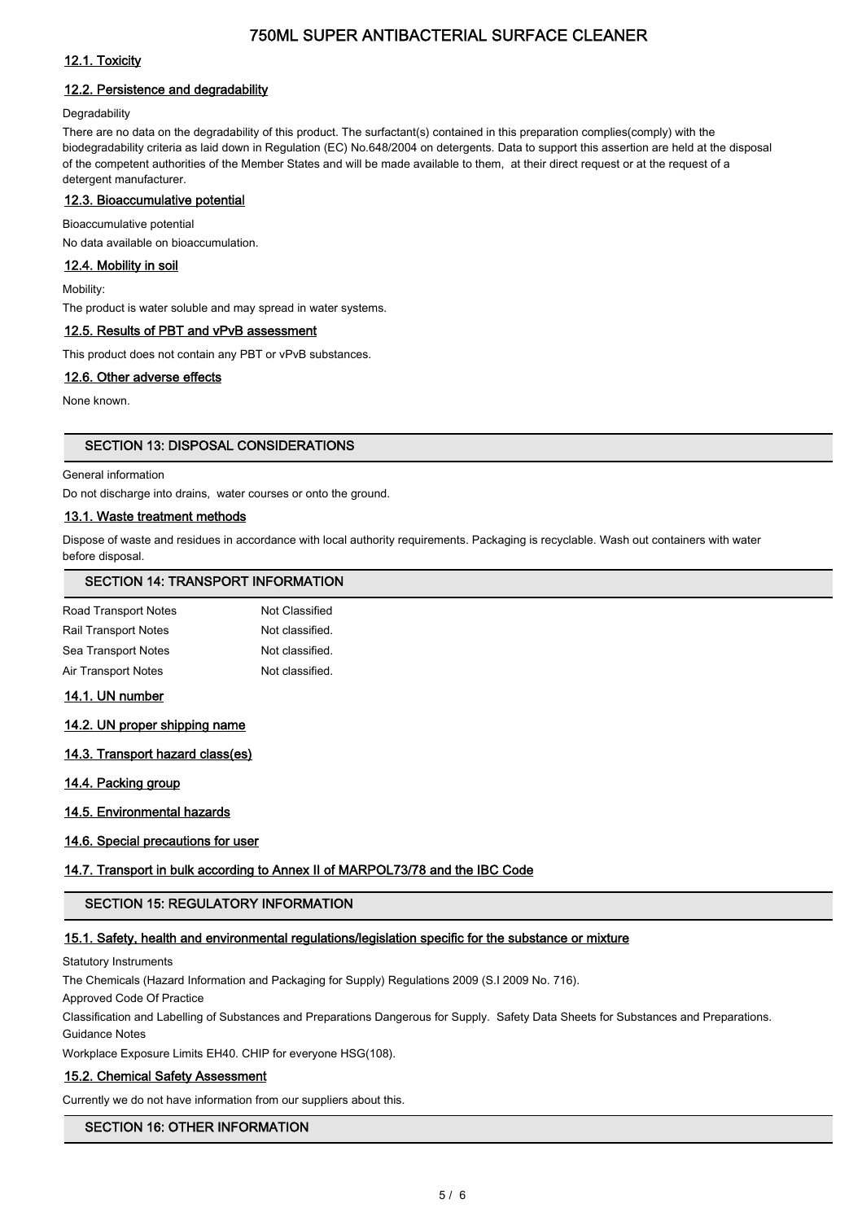# 12.1. Toxicity

# 12.2. Persistence and degradability

#### **Degradability**

There are no data on the degradability of this product. The surfactant(s) contained in this preparation complies(comply) with the biodegradability criteria as laid down in Regulation (EC) No.648/2004 on detergents. Data to support this assertion are held at the disposal of the competent authorities of the Member States and will be made available to them, at their direct request or at the request of a detergent manufacturer.

#### 12.3. Bioaccumulative potential

Bioaccumulative potential No data available on bioaccumulation.

# 12.4. Mobility in soil

Mobility:

The product is water soluble and may spread in water systems.

## 12.5. Results of PBT and vPvB assessment

This product does not contain any PBT or vPvB substances.

# 12.6. Other adverse effects

None known.

## SECTION 13: DISPOSAL CONSIDERATIONS

#### General information

Do not discharge into drains, water courses or onto the ground.

# 13.1. Waste treatment methods

Dispose of waste and residues in accordance with local authority requirements. Packaging is recyclable. Wash out containers with water before disposal.

# SECTION 14: TRANSPORT INFORMATION

| Not Classified  |
|-----------------|
| Not classified. |
| Not classified. |
| Not classified. |
|                 |

# 14.1. UN number

## 14.2. UN proper shipping name

#### 14.3. Transport hazard class(es)

14.4. Packing group

#### 14.5. Environmental hazards

# 14.6. Special precautions for user

# 14.7. Transport in bulk according to Annex II of MARPOL73/78 and the IBC Code

# SECTION 15: REGULATORY INFORMATION

#### 15.1. Safety, health and environmental regulations/legislation specific for the substance or mixture

Statutory Instruments

The Chemicals (Hazard Information and Packaging for Supply) Regulations 2009 (S.I 2009 No. 716).

Approved Code Of Practice

Classification and Labelling of Substances and Preparations Dangerous for Supply. Safety Data Sheets for Substances and Preparations. Guidance Notes

Workplace Exposure Limits EH40. CHIP for everyone HSG(108).

#### 15.2. Chemical Safety Assessment

Currently we do not have information from our suppliers about this.

# SECTION 16: OTHER INFORMATION